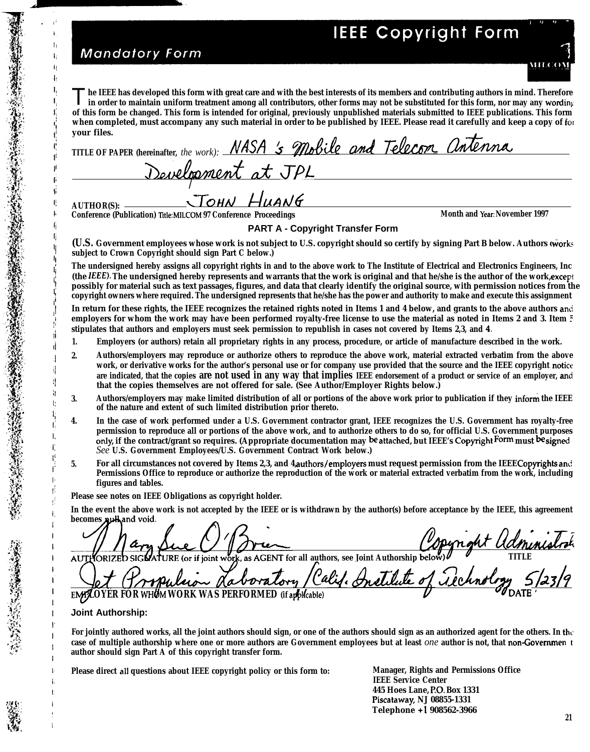# **IEEE Copyright Form**

# **Mandatory Form**

 $\mathbf{I}$ 

Ţ. Įì. ŧ.

 $\mathbf{I}$  $\overline{\phantom{a}}$ 

The IEEE has developed this form with great care and with the best interests of its members and contributing authors in mind. Therefore in order to maintain uniform treatment among all contributors, other forms may not be **in order to maintain uniform treatment among all contributors, other forms may not be substituted for this form, nor may any wording of this form be changed. This form is intended for original, previously unpublished materials submitted to IEEE publications. This form your files.**

| when completed, must accompany any such material in order to be published by IEEE. Please read it carefully and keep a copy of for |
|------------------------------------------------------------------------------------------------------------------------------------|
| your files.                                                                                                                        |
| TITLE OF PAPER (hereinafter, the work): NASA 's Mobile and Telecon antenna                                                         |
| Development at JPL                                                                                                                 |
|                                                                                                                                    |
|                                                                                                                                    |

**Conference (Publication) Title: MILCOM 97 Conference Proceedings <b>Month and Year: November 1997** Conference Proceedings

## **PART A - Copyright Transfer Form**

**(U.S. Government employees whose work is not subject to U.S. copyright should so certify by signing Part B below. Authors of works subject to Crown Copyright should sign Part C below.)**

**The undersigned hereby assigns all copyright rights in and to the above work to The Institute of Electrical and Electronics Engineers, Inc (the IEEE). The undersigned hereby represents and warrants that the work is original and that he/she is the author of the work, except possibly for material such as text passages, figures, and data that clearly identify the original source, with permission notices from the copyright owners where required. The undersigned represents that he/she has the power and authority to make and execute this assignment**

**In return for these rights, the IEEE recognizes the retained rights noted in Items 1 and 4 below, and grants to the above authors anti employers for whom the work may have been performed royalty-free license to use the material as noted in Items 2 and 3. Item 5 stipulates that authors and employers must seek permission to republish in cases not covered by Items 2,3, and 4.**

- **1. Employers (or authors) retain all proprietary rights in any process, procedure, or article of manufacture described in the work.**
- **2. Authors/employers may reproduce or authorize others to reproduce the above work, material extracted verbatim from the above work, or derivative works for the author's personal use or for company use provided that the source and the IEEE copyright notice are indicated, that the copies are not used in any way that implies IEEE endorsement of a product or service of an employer,** ami **that the copies themselves are not offered for sale. (See Author/Employer Rights below.)**
- 3. Authors/employers may make limited distribution of all or portions of the above work prior to publication if they inform the IEEE **of the nature and extent of such limited distribution prior thereto.**
- **4. In the case of work performed under a U.S. Government contractor grant, IEEE recognizes the U.S. Government has royalty-free permission to reproduce all or portions of the above work, and to authorize others to do so, for official U.S. Government purposes only, if the contract/grant so requires. (Appropriate documentation may be attached, but IEEE's Copyright Form must be signed** *See* **U.S. Government Employees/U.S. Government Contract Work below.)**
- **5. For all circumstances not covered by Items 2,3, and 4, authors/employem must request permission from the IEEE Copyrights and Permissions Office to reproduce or authorize the reproduction of the work or material extracted verbatim from the work, including figures and tables.**

**Please see notes on IEEE Obligations as copyright holder.**

**In the event the above work is not accepted by the IEEE or is withdrawn by the author(s) before acceptance by the IEEE, this agreement** becomes xulland void.

(or if joint work, as AGENT for all authors, see Joint Authorship below **AUTI** aboratory Calif. Institute of **.** <u>(anglebute of irechnology 5/23/9</u> **<sup>E</sup> OYER FOR WH6M WORK WAS PERFORMED (if afil~able) <sup>u</sup> ~DAT'E '**

**Joint Authorship:**

For jointly authored works, all the joint authors should sign, or one of the authors should sign as an authorized agent for the others. In the **case of multiple authorship where one or more authors are Government employees but at least** *one* **author is not, that non-Govemmen** <sup>t</sup> **author should sign Part A of this copyright transfer form.**

**Please direct all questions about IEEE copyright policy or this form to: Manager, Rights and Permissions Office**

**IEEE Service Center 445 Hoes Lane, P.O. Box 1331 Piscataway NJ 08855-1331 Telephone +1 908562-3966**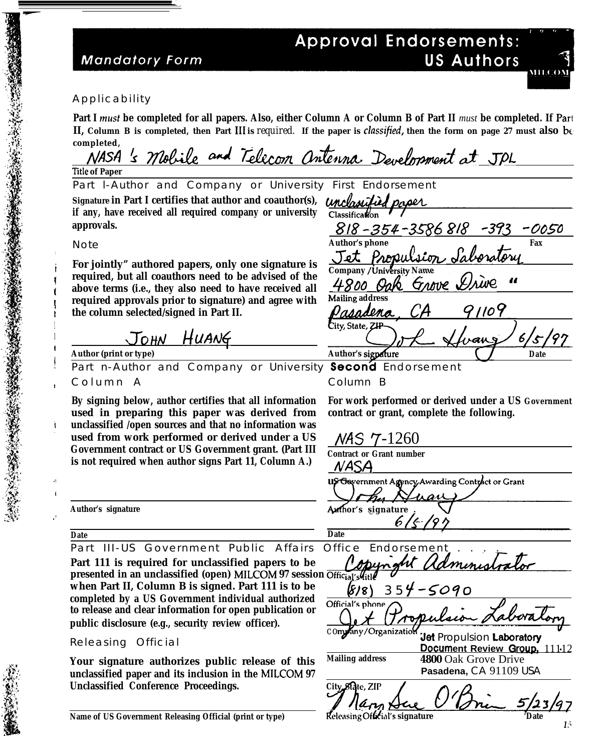## **Mandatory Form**

# **Approval Endorsements: US Authors**



I

**I**

**,'**

**Part I musf be completed for all papers. Also, either Column A or Column B of Part II** *must* **be completed. If Part II, Column B is completed, then Part III is** *required.* **If the paper is** *classified***, then the form on page 27 must also be completed,**

NASA's Mobile and Telecom antenna Development at JPL **Title of Paper** Part l-Author and Company or University First Endorsement Signature in Part I certifies that author and coauthor(s), *unchasitied pages* nclassification<br>
Classification<br>
<u>818 - 354 - 3586 818 - 393</u><br>
Jet Propulsion Saboratory<br>
Company/University Name<br>
1.900 Oglo Groppe Saire **if any, have received all required company or university** 8/8 -354 -m<sup>6</sup> <sup>818</sup> -3?3 '00S0 **approvals. Author's phone Fax** Note <u>Jet Propulsion</u><br>Company/University Name<br>4800 Prak Granve **For jointly" authored papers, only one signature is Company / University Name required, but all coauthors need to be advised of the above terms (i.e., they also need to have received all Mailing address required approvals prior to signature) and agree with**  $109$ **the column selected/signed in Part II.** Dasadena City, State, ZIP 1  $J$ <sub>OHN</sub> HUANG **Author (print or type) Author (print or type) Author's signature Author's signature CO** Date<br>Part n-Author and Company or University **Second** Endorsement vang **I** Part n-Author and Company or University Column A Column B **! By signing below, author certifies that all information For work performed or derived under a US Government used in preparing this paper was derived from contract or grant, complete the following. unclassified /open sources and that no information was used from work performed or derived under a US** */VAS* 7-1260 **Government contract or US Government grant. (Part III Contract or Grant number is not required when author signs Part 11, Column A.)**  $NASA$ **us Gevernment Agency Awarding Contract or Grant** ,, Author's signature **Author's signature** 6 / E  $\overline{Date}$ **Date** Part III-US Government Public Affairs Office Endorsement **Part 111 is required for unclassified papers to be presented in an unclassified (open) MILCOM 97 session Offic when Part II, Column B is signed. Part 111 is to be**  $\frac{6}{8}$ <br>Official's phone  $\bigcap$ **completed by a US Government individual authorized to release and clear information for open publication or public disclosure (e.g., security review officer).** *c o* **Jet Propulsion Laboratory** Releasing Official **Document Review Group.** 11112 **Mailing address 4800** Oak Grove Drive ak Grove<br>*Pana*, CA! **Your signature authorizes public release of this** Pasadena, CA 91109 USA<br>
<u>Jacque (Community 5/23/97</u><br> *Consignature* for the form of the community of the form of the community of the community of the community of the community of the community of the community of the com **unclassified paper and its inclusion in the MILCOM 97 Unclassified Conference Proceedings.** City<sub>28</sub>Rate, ZIP <u>5/23</u> **Name of US Government Releasing Official (print or type) Releasing Official's signature** 

**1<**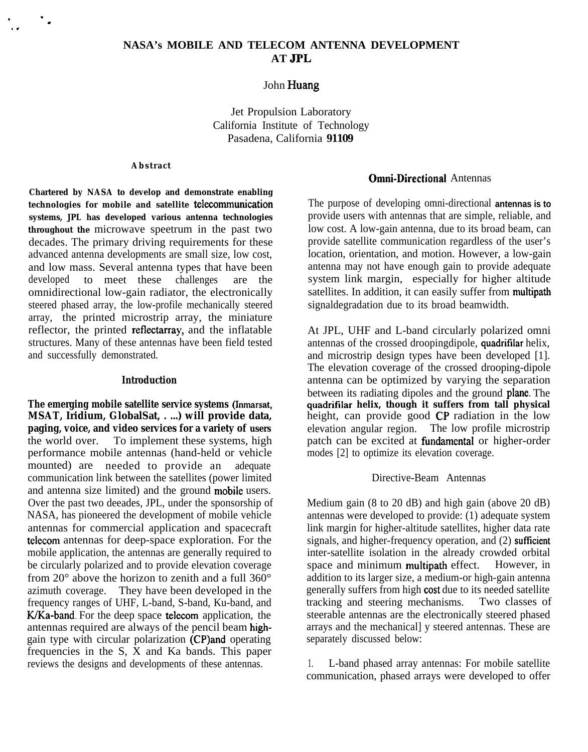## **NASA's MOBILE AND TELECOM ANTENNA DEVELOPMENT AT JPL**

John Huang

Jet Propulsion Laboratory California Institute of Technology Pasadena, California **91109**

#### **Abstract**

.

,.

. .

**Chartered by NASA to develop and demonstrate enabling technologies** for mobile and satellite **telecommunication systems, JPL has developed various antenna technologies throughout the** microwave speetrum in the past two decades. The primary driving requirements for these advanced antenna developments are small size, low cost, and low mass. Several antenna types that have been developed to meet these challenges are the omnidirectional low-gain radiator, the electronically steered phased array, the low-profile mechanically steered array, the printed microstrip array, the miniature reflector, the printed reflectarray, and the inflatable structures. Many of these antennas have been field tested and successfully demonstrated.

#### **Introduction**

**The emerging mobile satellite service systems (Inmarsat, MSAT, Iridium, GlobalSat, . ...) will provide data, paging, voice, and video services for a variety of users** the world over. To implement these systems, high performance mobile antennas (hand-held or vehicle mounted) are needed to provide an adequate communication link between the satellites (power limited and antenna size limited) and the ground mobile users. Over the past two deeades, JPL, under the sponsorship of NASA, has pioneered the development of mobile vehicle antennas for commercial application and spacecraft telecom antennas for deep-space exploration. For the mobile application, the antennas are generally required to be circularly polarized and to provide elevation coverage from 20 $^{\circ}$  above the horizon to zenith and a full 360 $^{\circ}$ azimuth coverage. They have been developed in the frequency ranges of UHF, L-band, S-band, Ku-band, and K/Ka-band. For the deep space telecom application, the antennas required are always of the pencil beam highgain type with circular polarization (CP)and operating frequencies in the S, X and Ka bands. This paper reviews the designs and developments of these antennas.

### Omni-Directional Antennas

The purpose of developing omni-directional **antennas is to** provide users with antennas that are simple, reliable, and low cost. A low-gain antenna, due to its broad beam, can provide satellite communication regardless of the user's location, orientation, and motion. However, a low-gain antenna may not have enough gain to provide adequate system link margin, especially for higher altitude satellites. In addition, it can easily suffer from multipath signaldegradation due to its broad beamwidth.

At JPL, UHF and L-band circularly polarized omni antennas of the crossed droopingdipole, quadrifilar helix, and microstrip design types have been developed [1]. The elevation coverage of the crossed drooping-dipole antenna can be optimized by varying the separation between its radiating dipoles and the ground plane. The **quadrifilar helix, though it suffers from tall physical** height, can provide good CP radiation in the low elevation angular region. The low profile microstrip patch can be excited at fimdamental or higher-order modes [2] to optimize its elevation coverage.

## Directive-Beam Antennas

Medium gain (8 to 20 dB) and high gain (above 20 dB) antennas were developed to provide: (1) adequate system link margin for higher-altitude satellites, higher data rate signals, and higher-frequency operation, and  $(2)$  sufficient inter-satellite isolation in the already crowded orbital<br>space and minimum **multipath** effect. However, in space and minimum multipath effect. addition to its larger size, a medium-or high-gain antenna generally suffers from high cost due to its needed satellite tracking and steering mechanisms. Two classes of steerable antennas are the electronically steered phased arrays and the mechanical] y steered antennas. These are separately discussed below:

1. L-band phased array antennas: For mobile satellite communication, phased arrays were developed to offer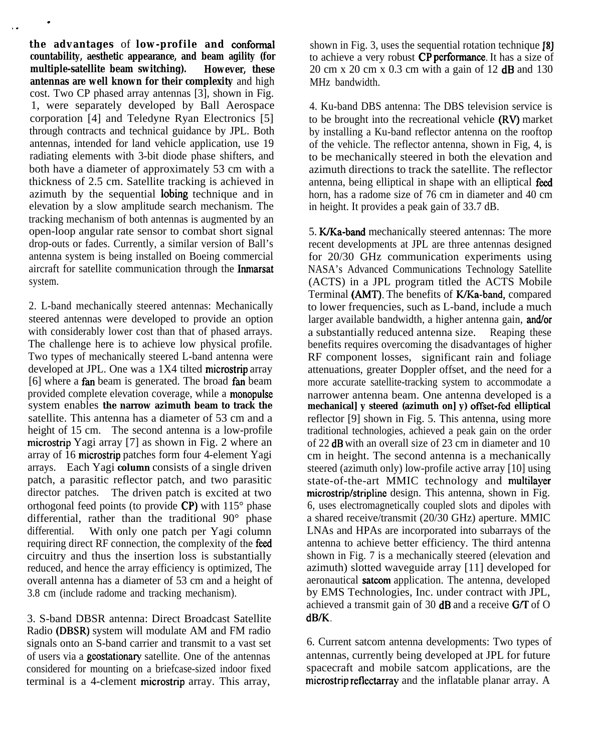**the advantages** of **low-profile and conforrnal countability, aesthetic appearance, and beam agility (for multiple-satellite beam switching). However, these antennas are well known for their complexity** and high cost. Two CP phased array antennas [3], shown in Fig. 1, were separately developed by Ball Aerospace corporation [4] and Teledyne Ryan Electronics [5] through contracts and technical guidance by JPL. Both antennas, intended for land vehicle application, use 19 radiating elements with 3-bit diode phase shifters, and both have a diameter of approximately 53 cm with a thickness of 2.5 cm. Satellite tracking is achieved in azimuth by the sequential Iobing technique and in elevation by a slow amplitude search mechanism. The tracking mechanism of both antennas is augmented by an open-loop angular rate sensor to combat short signal drop-outs or fades. Currently, a similar version of Ball's antenna system is being installed on Boeing commercial aircraft for satellite communication through the Inmarsat system.

.

2. L-band mechanically steered antennas: Mechanically steered antennas were developed to provide an option with considerably lower cost than that of phased arrays. The challenge here is to achieve low physical profile. Two types of mechanically steered L-band antenna were developed at JPL. One was a 1X4 tilted microstrip array [6] where a fan beam is generated. The broad fan beam provided complete elevation coverage, while a monopulse system enables **the narrow azimuth beam to track the** satellite. This antenna has a diameter of 53 cm and a height of 15 cm. The second antenna is a low-profile microstrip Yagi array [7] as shown in Fig. 2 where an array of 16 microstrip patches form four 4-element Yagi arrays. Each Yagi **column** consists of a single driven patch, a parasitic reflector patch, and two parasitic director patches. The driven patch is excited at two orthogonal feed points (to provide CP) with 115° phase differential, rather than the traditional 90° phase differential. With only one patch per Yagi column requiring direct RF connection, the complexity of the feed circuitry and thus the insertion loss is substantially reduced, and hence the array efficiency is optimized, The overall antenna has a diameter of 53 cm and a height of 3.8 cm (include radome and tracking mechanism).

3. S-band DBSR antenna: Direct Broadcast Satellite Radio (DBSR) system will modulate AM and FM radio signals onto an S-band carrier and transmit to a vast set of users via a geostationary satellite. One of the antennas considered for mounting on a briefcase-sized indoor fixed terminal is a 4-clement microstrip array. This array,

shown in Fig. 3, uses the sequential rotation technique [8] to achieve a very robust  $\overrightarrow{CP}$  performance. It has a size of 20 cm x 20 cm x 0.3 cm with a gain of 12 dB and 130 MHz bandwidth.

4. Ku-band DBS antenna: The DBS television service is to be brought into the recreational vehicle (RV) market by installing a Ku-band reflector antenna on the rooftop of the vehicle. The reflector antenna, shown in Fig, 4, is to be mechanically steered in both the elevation and azimuth directions to track the satellite. The reflector antenna, being elliptical in shape with an elliptical feed horn, has a radome size of 76 cm in diameter and 40 cm in height. It provides a peak gain of 33.7 dB.

5. K/Ka-band mechanically steered antennas: The more recent developments at JPL are three antennas designed for 20/30 GHz communication experiments using NASA's Advanced Communications Technology Satellite (ACTS) in a JPL program titled the ACTS Mobile Terminal (AMT). The benefits of K/Ka-band, compared to lower frequencies, such as L-band, include a much larger available bandwidth, a higher antenna gain, and/or a substantially reduced antenna size. Reaping these benefits requires overcoming the disadvantages of higher RF component losses, significant rain and foliage attenuations, greater Doppler offset, and the need for a more accurate satellite-tracking system to accommodate a narrower antenna beam. One antenna developed is a **mechanical] y steered (azimuth on] y) offset-fd elliptical** reflector [9] shown in Fig. 5. This antenna, using more traditional technologies, achieved a peak gain on the order of 22 dB with an overall size of 23 cm in diameter and 10 cm in height. The second antenna is a mechanically steered (azimuth only) low-profile active array [10] using state-of-the-art MMIC technology and multilayer microstrip/stripline design. This antenna, shown in Fig. 6, uses electromagnetically coupled slots and dipoles with a shared receive/transmit (20/30 GHz) aperture. MMIC LNAs and HPAs are incorporated into subarrays of the antenna to achieve better efficiency. The third antenna shown in Fig. 7 is a mechanically steered (elevation and azimuth) slotted waveguide array [11] developed for aeronautical satcom application. The antenna, developed by EMS Technologies, Inc. under contract with JPL, achieved a transmit gain of 30  $\text{dB}$  and a receive G/T of O dB/K.

6. Current satcom antenna developments: Two types of antennas, currently being developed at JPL for future spacecraft and mobile satcom applications, are the microstrip reflectarray and the inflatable planar array. A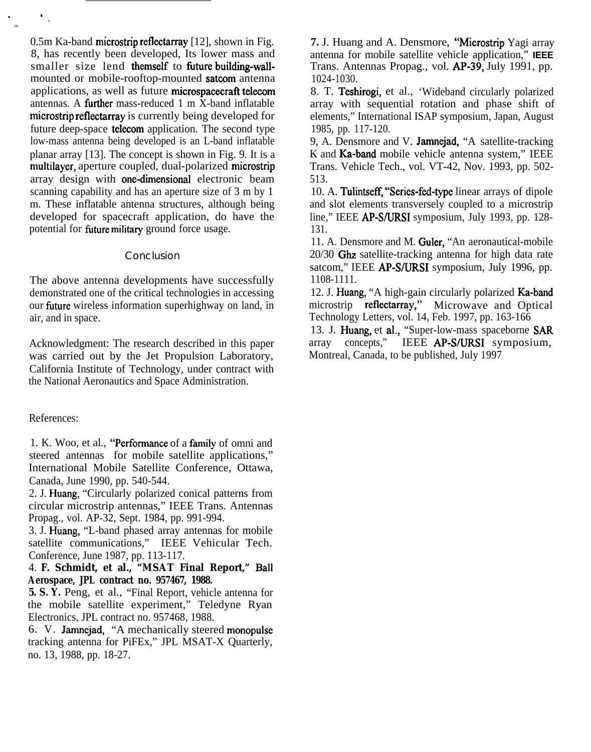$0.5$ m Ka-band microstrip reflectarray [12], shown in Fig. 8, has recently been developed, Its lower mass and smaller size lend themself to fiture building-wallmounted or mobile-rooftop-mounted satcom antenna applications, as well as future microspacecraft telecom antennas. A **further** mass-reduced 1 m X-band inflatable microstrip reflectarray is currently being developed for future deep-space telecom application. The second type low-mass antenna being developed is an L-band inflatable planar array [13]. The concept is shown in Fig. 9. It is a multilayer, aperture coupled, dual-polarized microstrip array design with one-dimensional electronic beam scanning capability and has an aperture size of 3 m by 1 m. These inflatable antenna structures, although being developed for spacecraft application, do have the potential for future military ground force usage.

### Conclusion

The above antenna developments have successfully demonstrated one of the critical technologies in accessing our fiture wireless information superhighway on land, in air, and in space.

Acknowledgment: The research described in this paper was carried out by the Jet Propulsion Laboratory, California Institute of Technology, under contract with the National Aeronautics and Space Administration.

#### References:

. ●

✌✎

✎

1. K. Woo, et al., "Performance of a family of omni and steered antennas for mobile satellite applications," International Mobile Satellite Conference, Ottawa, Canada, June 1990, pp. 540-544.

2. J. Huang, "Circularly polarized conical patterns from circular microstrip antennas," IEEE Trans. Antennas Propag., vol. AP-32, Sept. 1984, pp. 991-994.

3. J. Huang, "L-band phased array antennas for mobile satellite communications," IEEE Vehicular Tech. Conference, June 1987, pp. 113-117.

4. **F. Schmidt, et al., "MSAT Final Report," Ball Aerospace, JPL contract no. 957467, 1988.**

**5. S. Y.** Peng, et al., "Final Report, vehicle antenna for the mobile satellite experiment," Teledyne Ryan Electronics, JPL contract no. 957468, 1988.

6. V. Jamncjad, "A mechanically steered monopulse tracking antenna for PiFEx," JPL MSAT-X Quarterly, no. 13, 1988, pp. 18-27.

**7.** J. Huang and A. Densmore, "Microstrip Yagi array antenna for mobile satellite vehicle application," **IEEE** Trans. Antennas Propag., vol. AP-39, July 1991, pp. 1024-1030.

8. T. Teshirogi, et al., 'Wideband circularly polarized array with sequential rotation and phase shift of elements," International ISAP symposium, Japan, August 1985, pp. 117-120.

9, A. Densmore and V. Jamnejad, "A satellite-tracking K and Ka-band mobile vehicle antenna system," IEEE Trans. Vehicle Tech., vol. VT-42, Nov. 1993, pp. 502- 513.

10. A. Tulintseff, "Series-fed-type linear arrays of dipole and slot elements transversely coupled to a microstrip line," IEEE AP-S/URSI symposium, July 1993, pp. 128-131.

11. A. Densmore and M. Guler, "An aeronautical-mobile 20/30 Ghz satellite-tracking antenna for high data rate satcom," IEEE AP-S/URSI symposium, July 1996, pp. 1108-1111.

12. J. Huang, "A high-gain circularly polarized Ka-band microstrip reflectarray," Microwave and Optical Technology Letters, vol. 14, Feb. 1997, pp. 163-166

13. J. Huang, et al., "Super-low-mass spaceborne SAR array concepts," IEEE AP-S/URSI symposium, Montreal, Canada, to be published, July 1997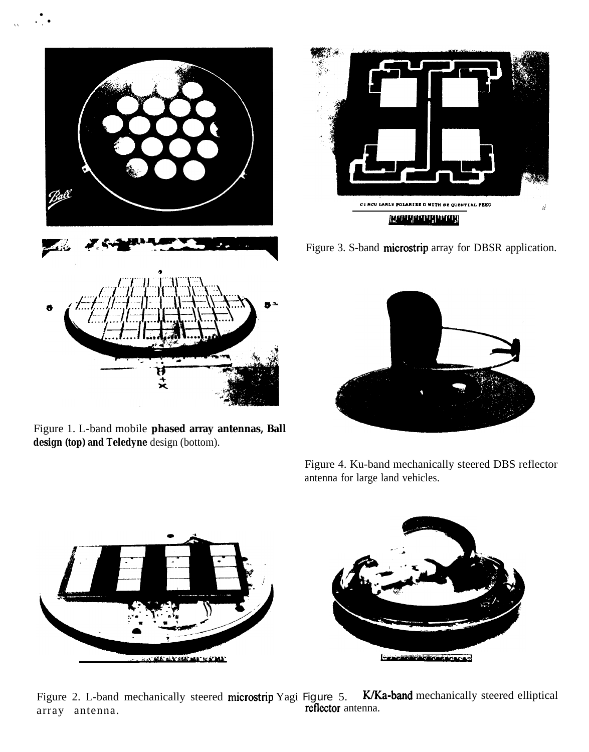

● ●

✎ ✎ **'<**

Figure 1. L-band mobile **phased array antennas, Ball design (top) and Teledyne** design (bottom).



Figure 3. S-band microstrip array for DBSR application.



Figure 4. Ku-band mechanically steered DBS reflector antenna for large land vehicles.



Figure 2. L-band mechanically steered microstrip Yagi Figure 5. K/Ka-band mechanically steered elliptical array antenna. reflector antenna.